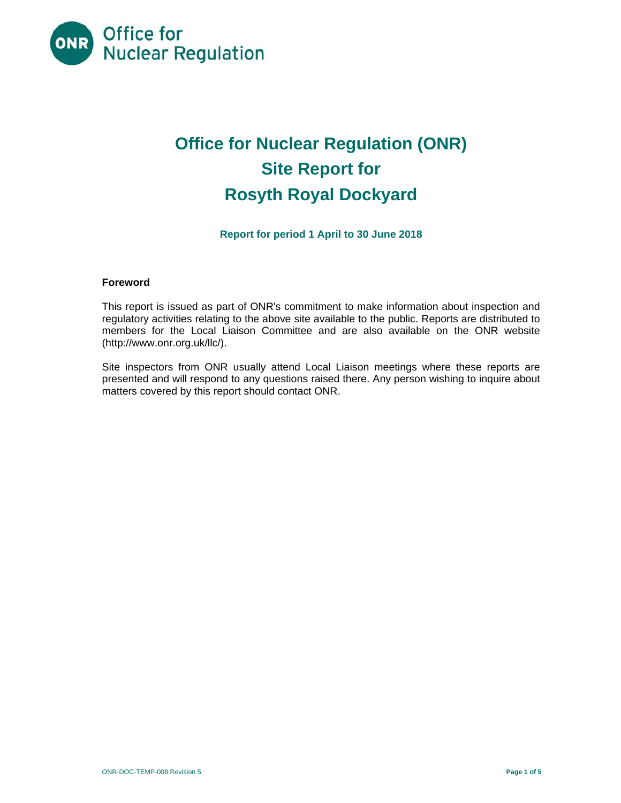

# **Office for Nuclear Regulation (ONR) Site Report for Rosyth Royal Dockyard**

**Report for period 1 April to 30 June 2018** 

## **Foreword**

This report is issued as part of ONR's commitment to make information about inspection and regulatory activities relating to the above site available to the public. Reports are distributed to members for the Local Liaison Committee and are also available on the ONR website (http://www.onr.org.uk/llc/).

Site inspectors from ONR usually attend Local Liaison meetings where these reports are presented and will respond to any questions raised there. Any person wishing to inquire about matters covered by this report should contact ONR.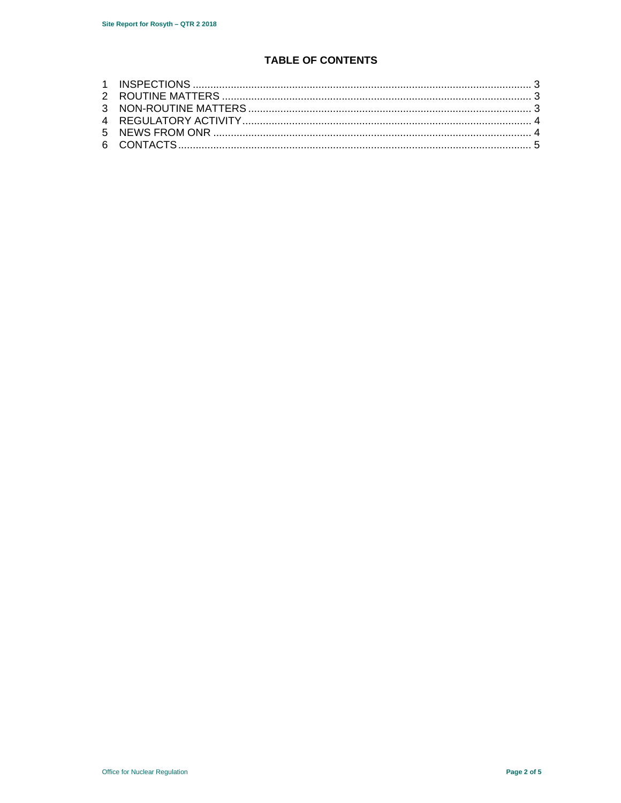## **TABLE OF CONTENTS**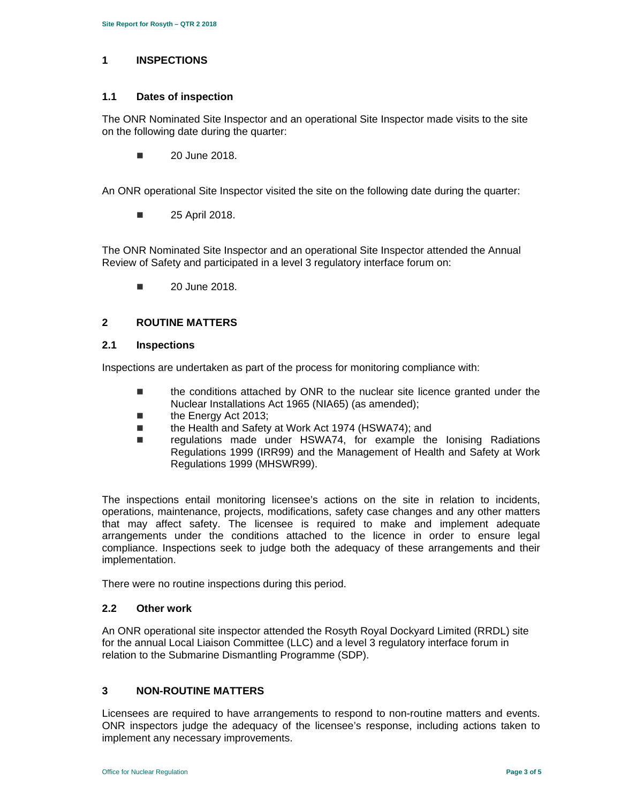## **1 INSPECTIONS**

#### **1.1 Dates of inspection**

The ONR Nominated Site Inspector and an operational Site Inspector made visits to the site on the following date during the quarter:

**20 June 2018.** 

An ONR operational Site Inspector visited the site on the following date during the quarter:

■ 25 April 2018.

The ONR Nominated Site Inspector and an operational Site Inspector attended the Annual Review of Safety and participated in a level 3 regulatory interface forum on:

 $\blacksquare$  20 June 2018.

## **2 ROUTINE MATTERS**

#### **2.1 Inspections**

Inspections are undertaken as part of the process for monitoring compliance with:

- the conditions attached by ONR to the nuclear site licence granted under the Nuclear Installations Act 1965 (NIA65) (as amended);
- the Energy Act 2013;
- the Health and Safety at Work Act 1974 (HSWA74); and
- regulations made under HSWA74, for example the Ionising Radiations Regulations 1999 (IRR99) and the Management of Health and Safety at Work Regulations 1999 (MHSWR99).

The inspections entail monitoring licensee's actions on the site in relation to incidents, operations, maintenance, projects, modifications, safety case changes and any other matters that may affect safety. The licensee is required to make and implement adequate arrangements under the conditions attached to the licence in order to ensure legal compliance. Inspections seek to judge both the adequacy of these arrangements and their implementation.

There were no routine inspections during this period.

## **2.2 Other work**

An ONR operational site inspector attended the Rosyth Royal Dockyard Limited (RRDL) site for the annual Local Liaison Committee (LLC) and a level 3 regulatory interface forum in relation to the Submarine Dismantling Programme (SDP).

## **3 NON-ROUTINE MATTERS**

Licensees are required to have arrangements to respond to non-routine matters and events. ONR inspectors judge the adequacy of the licensee's response, including actions taken to implement any necessary improvements.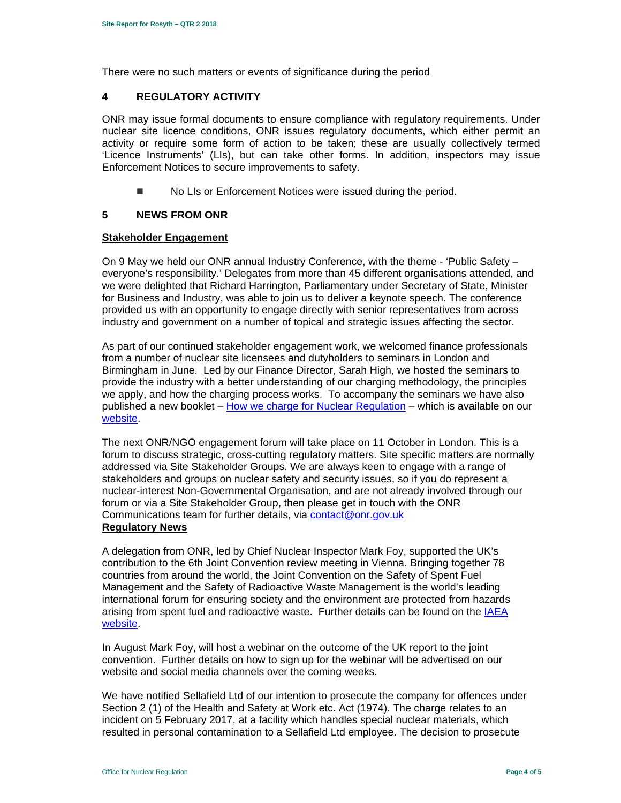There were no such matters or events of significance during the period

## **4 REGULATORY ACTIVITY**

ONR may issue formal documents to ensure compliance with regulatory requirements. Under nuclear site licence conditions, ONR issues regulatory documents, which either permit an activity or require some form of action to be taken; these are usually collectively termed 'Licence Instruments' (LIs), but can take other forms. In addition, inspectors may issue Enforcement Notices to secure improvements to safety.

No LIs or Enforcement Notices were issued during the period.

## **5 NEWS FROM ONR**

## **Stakeholder Engagement**

On 9 May we held our ONR annual Industry Conference, with the theme - 'Public Safety – everyone's responsibility.' Delegates from more than 45 different organisations attended, and we were delighted that Richard Harrington, Parliamentary under Secretary of State, Minister for Business and Industry, was able to join us to deliver a keynote speech. The conference provided us with an opportunity to engage directly with senior representatives from across industry and government on a number of topical and strategic issues affecting the sector.

As part of our continued stakeholder engagement work, we welcomed finance professionals from a number of nuclear site licensees and dutyholders to seminars in London and Birmingham in June. Led by our Finance Director, Sarah High, we hosted the seminars to provide the industry with a better understanding of our charging methodology, the principles we apply, and how the charging process works. To accompany the seminars we have also published a new booklet – How we charge for Nuclear Regulation – which is available on our website.

The next ONR/NGO engagement forum will take place on 11 October in London. This is a forum to discuss strategic, cross-cutting regulatory matters. Site specific matters are normally addressed via Site Stakeholder Groups. We are always keen to engage with a range of stakeholders and groups on nuclear safety and security issues, so if you do represent a nuclear-interest Non-Governmental Organisation, and are not already involved through our forum or via a Site Stakeholder Group, then please get in touch with the ONR Communications team for further details, via contact@onr.gov.uk

## **Regulatory News**

A delegation from ONR, led by Chief Nuclear Inspector Mark Foy, supported the UK's contribution to the 6th Joint Convention review meeting in Vienna. Bringing together 78 countries from around the world, the Joint Convention on the Safety of Spent Fuel Management and the Safety of Radioactive Waste Management is the world's leading international forum for ensuring society and the environment are protected from hazards arising from spent fuel and radioactive waste. Further details can be found on the IAEA website.

In August Mark Foy, will host a webinar on the outcome of the UK report to the joint convention. Further details on how to sign up for the webinar will be advertised on our website and social media channels over the coming weeks.

We have notified Sellafield Ltd of our intention to prosecute the company for offences under Section 2 (1) of the Health and Safety at Work etc. Act (1974). The charge relates to an incident on 5 February 2017, at a facility which handles special nuclear materials, which resulted in personal contamination to a Sellafield Ltd employee. The decision to prosecute